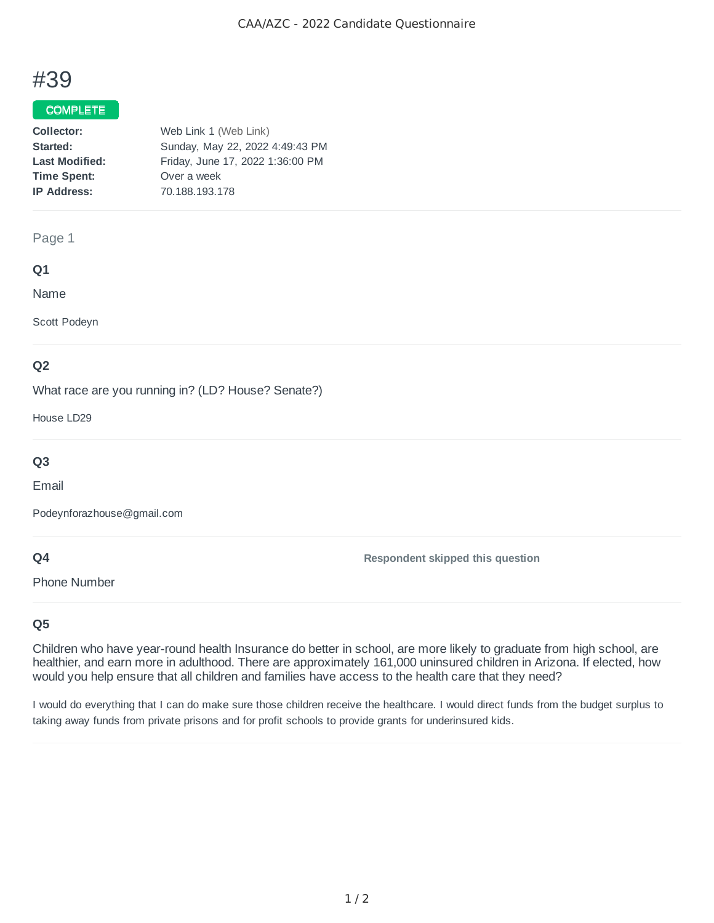# #39

## COMPLETE

| Collector:            | Web Link 1 (Web Link)            |
|-----------------------|----------------------------------|
| Started:              | Sunday, May 22, 2022 4:49:43 PM  |
| <b>Last Modified:</b> | Friday, June 17, 2022 1:36:00 PM |
| <b>Time Spent:</b>    | Over a week                      |
| <b>IP Address:</b>    | 70.188.193.178                   |

#### Page 1

### **Q1**

Name

Scott Podeyn

# **Q2**

What race are you running in? (LD? House? Senate?)

House LD29

# **Q3**

Email

Podeynforazhouse@gmail.com

# **Q4**

Phone Number

**Respondent skipped this question**

# **Q5**

Children who have year-round health Insurance do better in school, are more likely to graduate from high school, are healthier, and earn more in adulthood. There are approximately 161,000 uninsured children in Arizona. If elected, how would you help ensure that all children and families have access to the health care that they need?

I would do everything that I can do make sure those children receive the healthcare. I would direct funds from the budget surplus to taking away funds from private prisons and for profit schools to provide grants for underinsured kids.